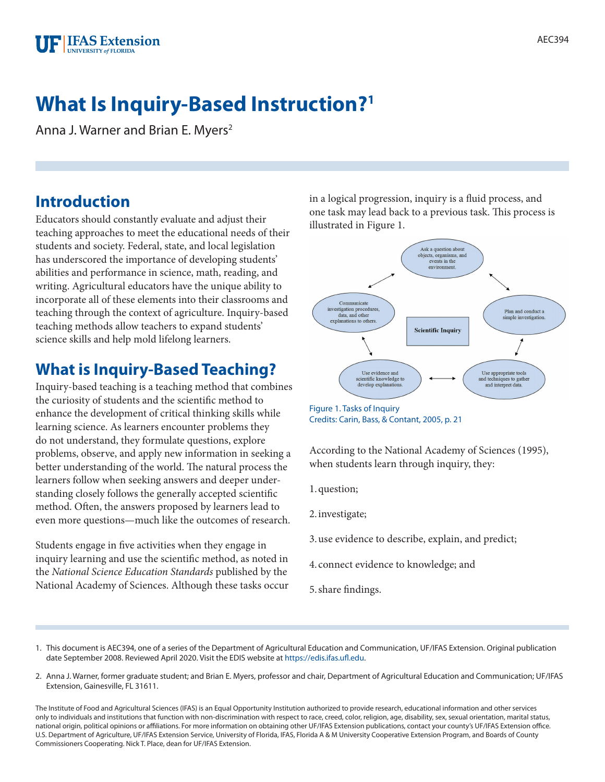

# **What Is Inquiry-Based Instruction?1**

Anna J. Warner and Brian E. Myers<sup>2</sup>

### **Introduction**

Educators should constantly evaluate and adjust their teaching approaches to meet the educational needs of their students and society. Federal, state, and local legislation has underscored the importance of developing students' abilities and performance in science, math, reading, and writing. Agricultural educators have the unique ability to incorporate all of these elements into their classrooms and teaching through the context of agriculture. Inquiry-based teaching methods allow teachers to expand students' science skills and help mold lifelong learners.

### **What is Inquiry-Based Teaching?**

Inquiry-based teaching is a teaching method that combines the curiosity of students and the scientific method to enhance the development of critical thinking skills while learning science. As learners encounter problems they do not understand, they formulate questions, explore problems, observe, and apply new information in seeking a better understanding of the world. The natural process the learners follow when seeking answers and deeper understanding closely follows the generally accepted scientific method. Often, the answers proposed by learners lead to even more questions—much like the outcomes of research.

Students engage in five activities when they engage in inquiry learning and use the scientific method, as noted in the *National Science Education Standards* published by the National Academy of Sciences. Although these tasks occur in a logical progression, inquiry is a fluid process, and one task may lead back to a previous task. This process is illustrated in Figure 1.



Credits: Carin, Bass, & Contant, 2005, p. 21

According to the National Academy of Sciences (1995), when students learn through inquiry, they:

1.question;

2.investigate;

- 3.use evidence to describe, explain, and predict;
- 4. connect evidence to knowledge; and
- 5.share findings.
- 1. This document is AEC394, one of a series of the Department of Agricultural Education and Communication, UF/IFAS Extension. Original publication date September 2008. Reviewed April 2020. Visit the EDIS website at [https://edis.ifas.ufl.edu.](https://edis.ifas.ufl.edu)
- 2. Anna J. Warner, former graduate student; and Brian E. Myers, professor and chair, Department of Agricultural Education and Communication; UF/IFAS Extension, Gainesville, FL 31611.

The Institute of Food and Agricultural Sciences (IFAS) is an Equal Opportunity Institution authorized to provide research, educational information and other services only to individuals and institutions that function with non-discrimination with respect to race, creed, color, religion, age, disability, sex, sexual orientation, marital status, national origin, political opinions or affiliations. For more information on obtaining other UF/IFAS Extension publications, contact your county's UF/IFAS Extension office. U.S. Department of Agriculture, UF/IFAS Extension Service, University of Florida, IFAS, Florida A & M University Cooperative Extension Program, and Boards of County Commissioners Cooperating. Nick T. Place, dean for UF/IFAS Extension.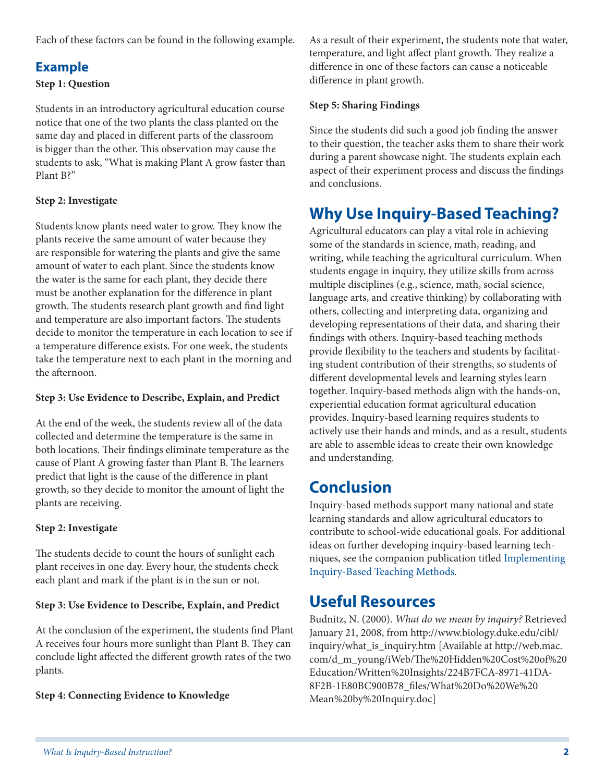Each of these factors can be found in the following example.

#### **Example**

#### **Step 1: Question**

Students in an introductory agricultural education course notice that one of the two plants the class planted on the same day and placed in different parts of the classroom is bigger than the other. This observation may cause the students to ask, "What is making Plant A grow faster than Plant B?"

#### **Step 2: Investigate**

Students know plants need water to grow. They know the plants receive the same amount of water because they are responsible for watering the plants and give the same amount of water to each plant. Since the students know the water is the same for each plant, they decide there must be another explanation for the difference in plant growth. The students research plant growth and find light and temperature are also important factors. The students decide to monitor the temperature in each location to see if a temperature difference exists. For one week, the students take the temperature next to each plant in the morning and the afternoon.

#### **Step 3: Use Evidence to Describe, Explain, and Predict**

At the end of the week, the students review all of the data collected and determine the temperature is the same in both locations. Their findings eliminate temperature as the cause of Plant A growing faster than Plant B. The learners predict that light is the cause of the difference in plant growth, so they decide to monitor the amount of light the plants are receiving.

#### **Step 2: Investigate**

The students decide to count the hours of sunlight each plant receives in one day. Every hour, the students check each plant and mark if the plant is in the sun or not.

#### **Step 3: Use Evidence to Describe, Explain, and Predict**

At the conclusion of the experiment, the students find Plant A receives four hours more sunlight than Plant B. They can conclude light affected the different growth rates of the two plants.

#### **Step 4: Connecting Evidence to Knowledge**

As a result of their experiment, the students note that water, temperature, and light affect plant growth. They realize a difference in one of these factors can cause a noticeable difference in plant growth.

#### **Step 5: Sharing Findings**

Since the students did such a good job finding the answer to their question, the teacher asks them to share their work during a parent showcase night. The students explain each aspect of their experiment process and discuss the findings and conclusions.

# **Why Use Inquiry-Based Teaching?**

Agricultural educators can play a vital role in achieving some of the standards in science, math, reading, and writing, while teaching the agricultural curriculum. When students engage in inquiry, they utilize skills from across multiple disciplines (e.g., science, math, social science, language arts, and creative thinking) by collaborating with others, collecting and interpreting data, organizing and developing representations of their data, and sharing their findings with others. Inquiry-based teaching methods provide flexibility to the teachers and students by facilitating student contribution of their strengths, so students of different developmental levels and learning styles learn together. Inquiry-based methods align with the hands-on, experiential education format agricultural education provides. Inquiry-based learning requires students to actively use their hands and minds, and as a result, students are able to assemble ideas to create their own knowledge and understanding.

## **Conclusion**

Inquiry-based methods support many national and state learning standards and allow agricultural educators to contribute to school-wide educational goals. For additional ideas on further developing inquiry-based learning techniques, see the companion publication titled [Implementing](http://edis.ifas.ufl.edu/WC076)  [Inquiry-Based Teaching Methods](http://edis.ifas.ufl.edu/WC076)*.*

### **Useful Resources**

Budnitz, N. (2000). *What do we mean by inquiry?* Retrieved January 21, 2008, from http://www.biology.duke.edu/cibl/ inquiry/what\_is\_inquiry.htm [Available at http://web.mac. com/d\_m\_young/iWeb/The%20Hidden%20Cost%20of%20 Education/Written%20Insights/224B7FCA-8971-41DA-8F2B-1E80BC900B78\_files/What%20Do%20We%20 Mean%20by%20Inquiry.doc]